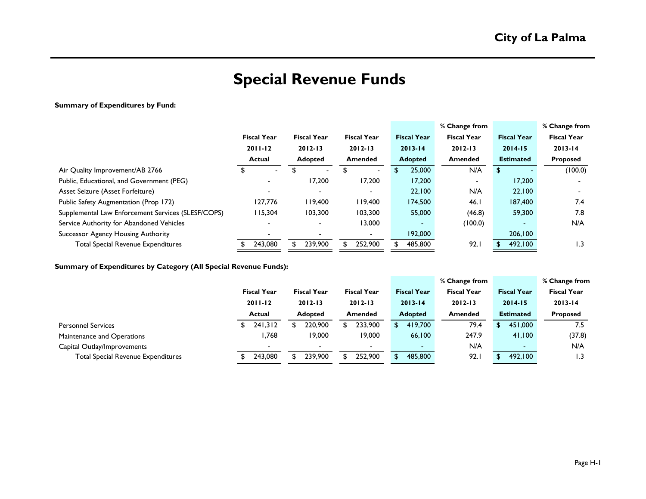# **Special Revenue Funds**

### **Summary of Expenditures by Fund:**

|                                                    |                    |                    |    |                          |                          | % Change from      |                          | % Change from      |
|----------------------------------------------------|--------------------|--------------------|----|--------------------------|--------------------------|--------------------|--------------------------|--------------------|
|                                                    | <b>Fiscal Year</b> | <b>Fiscal Year</b> |    | <b>Fiscal Year</b>       | <b>Fiscal Year</b>       | <b>Fiscal Year</b> | <b>Fiscal Year</b>       | <b>Fiscal Year</b> |
|                                                    | $2011 - 12$        | $2012 - 13$        |    | $2012 - 13$              | $2013 - 14$              | $2012 - 13$        | $2014 - 15$              | $2013 - 14$        |
|                                                    | <b>Actual</b>      | <b>Adopted</b>     |    | <b>Amended</b>           | <b>Adopted</b>           | <b>Amended</b>     | <b>Estimated</b>         | <b>Proposed</b>    |
| Air Quality Improvement/AB 2766                    | \$                 |                    | \$ | $\blacksquare$           | 25,000                   | N/A                | \$                       | (100.0)            |
| Public, Educational, and Government (PEG)          |                    | 17,200             |    | 17,200                   | 17,200                   |                    | 17,200                   |                    |
| Asset Seizure (Asset Forfeiture)                   |                    |                    |    | $\overline{\phantom{a}}$ | 22,100                   | N/A                | 22,100                   |                    |
| Public Safety Augmentation (Prop 172)              | 127,776            | 119,400            |    | 119,400                  | 174,500                  | 46.1               | 187,400                  | 7.4                |
| Supplemental Law Enforcement Services (SLESF/COPS) | 115,304            | 103,300            |    | 103,300                  | 55,000                   | (46.8)             | 59,300                   | 7.8                |
| Service Authority for Abandoned Vehicles           |                    |                    |    | 13,000                   | $\overline{\phantom{0}}$ | (100.0)            | $\overline{\phantom{0}}$ | N/A                |
| <b>Successor Agency Housing Authority</b>          |                    |                    |    | $\blacksquare$           | 192,000                  |                    | 206,100                  |                    |
| <b>Total Special Revenue Expenditures</b>          | 243,080            | 239,900            |    | 252,900                  | 485,800                  | 92.1               | 492,100                  | $\overline{1.3}$   |

**Summary of Expenditures by Category (All Special Revenue Funds):**

|                                           |                    |                    |                    |               |                    | % Change from      |    |                          | % Change from   |
|-------------------------------------------|--------------------|--------------------|--------------------|---------------|--------------------|--------------------|----|--------------------------|-----------------|
|                                           | <b>Fiscal Year</b> | <b>Fiscal Year</b> | <b>Fiscal Year</b> |               | <b>Fiscal Year</b> | <b>Fiscal Year</b> |    | <b>Fiscal Year</b>       | Fiscal Year     |
|                                           | $2011 - 12$        | $2012 - 13$        | $2012 - 13$        |               | $2013 - 14$        | $2012 - 13$        |    | $2014 - 15$              | $2013 - 14$     |
|                                           | <b>Actual</b>      | <b>Adopted</b>     | <b>Amended</b>     |               | <b>Adopted</b>     | <b>Amended</b>     |    | <b>Estimated</b>         | <b>Proposed</b> |
| <b>Personnel Services</b>                 | 241,312            | 220,900            | 233,900            | <sup>\$</sup> | 419,700            | 79.4               | S. | 451,000                  | 7.5             |
| Maintenance and Operations                | I.768              | 19,000             | 19,000             |               | 66,100             | 247.9              |    | 41,100                   | (37.8)          |
| Capital Outlay/Improvements               |                    |                    |                    |               | $\sim$             | N/A                |    | $\overline{\phantom{0}}$ | N/A             |
| <b>Total Special Revenue Expenditures</b> | 243,080            | 239,900            | 252,900            | S             | 485,800            | 92.1               |    | 492.100                  | 3. ا            |
|                                           |                    |                    |                    |               |                    |                    |    |                          |                 |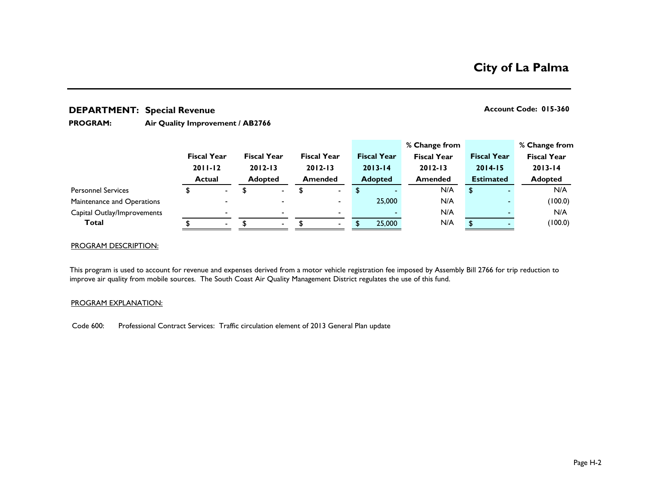## **DEPARTMENT: Account Code: 015-360 Special Revenue**

#### **Air Quality Improvement / AB2766 PROGRAM:**

|                             |                    |                |                    |        |                          |                    | % Change from      |                    | % Change from      |
|-----------------------------|--------------------|----------------|--------------------|--------|--------------------------|--------------------|--------------------|--------------------|--------------------|
|                             | <b>Fiscal Year</b> |                | <b>Fiscal Year</b> |        | <b>Fiscal Year</b>       | <b>Fiscal Year</b> | <b>Fiscal Year</b> | <b>Fiscal Year</b> | <b>Fiscal Year</b> |
|                             | $2011 - 12$        |                | $2012 - 13$        |        | $2012 - 13$              | $2013 - 14$        | $2012 - 13$        | $2014 - 15$        | $2013 - 14$        |
|                             | <b>Actual</b>      |                | <b>Adopted</b>     |        | <b>Amended</b>           | <b>Adopted</b>     | <b>Amended</b>     | <b>Estimated</b>   | <b>Adopted</b>     |
| <b>Personnel Services</b>   |                    | $\sim$         |                    | $\sim$ | $\overline{\phantom{0}}$ |                    | N/A                | \$                 | N/A                |
| Maintenance and Operations  |                    | $\blacksquare$ |                    |        | $\overline{\phantom{0}}$ | 25,000             | N/A                |                    | (100.0)            |
| Capital Outlay/Improvements |                    |                |                    |        | $\blacksquare$           |                    | N/A                |                    | N/A                |
| Total                       |                    | $\sim$         |                    | $\sim$ |                          | 25,000             | N/A                |                    | (100.0)            |
|                             |                    |                |                    |        |                          |                    |                    |                    |                    |

### PROGRAM DESCRIPTION:

This program is used to account for revenue and expenses derived from a motor vehicle registration fee imposed by Assembly Bill 2766 for trip reduction to improve air quality from mobile sources. The South Coast Air Quality Management District regulates the use of this fund.

#### PROGRAM EXPLANATION:

Code 600: Professional Contract Services: Traffic circulation element of 2013 General Plan update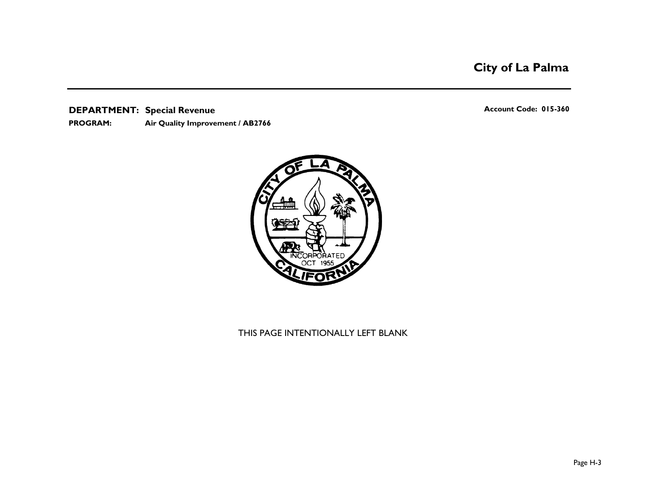# **City of La Palma**

**DEPARTMENT: Account Code: 015-360 Special Revenue Air Quality Improvement / AB2766 PROGRAM:** 

**RPORATE**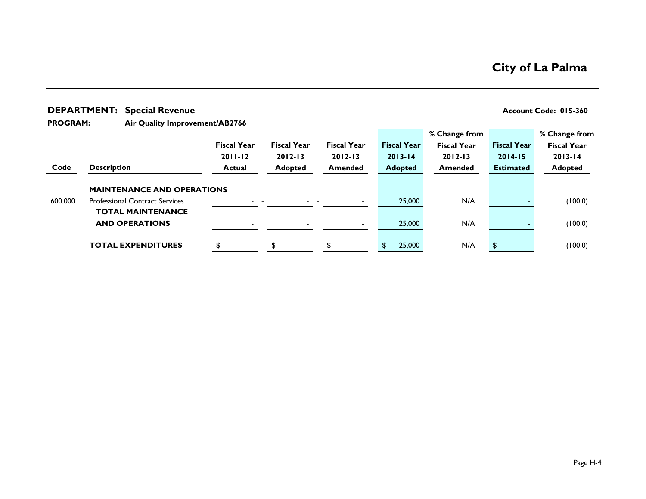|                 |                    | <b>DEPARTMENT: Special Revenue</b>                                |                                   |                                   |                                   |                                   |                                                    |                                   | Account Code: 015-360                              |
|-----------------|--------------------|-------------------------------------------------------------------|-----------------------------------|-----------------------------------|-----------------------------------|-----------------------------------|----------------------------------------------------|-----------------------------------|----------------------------------------------------|
| <b>PROGRAM:</b> |                    | Air Quality Improvement/AB2766                                    |                                   |                                   |                                   |                                   |                                                    |                                   |                                                    |
|                 |                    |                                                                   | <b>Fiscal Year</b><br>$2011 - 12$ | <b>Fiscal Year</b><br>$2012 - 13$ | <b>Fiscal Year</b><br>$2012 - 13$ | <b>Fiscal Year</b><br>$2013 - 14$ | % Change from<br><b>Fiscal Year</b><br>$2012 - 13$ | <b>Fiscal Year</b><br>$2014 - 15$ | % Change from<br><b>Fiscal Year</b><br>$2013 - 14$ |
| Code            | <b>Description</b> |                                                                   | <b>Actual</b>                     | <b>Adopted</b>                    | <b>Amended</b>                    | <b>Adopted</b>                    | <b>Amended</b>                                     | <b>Estimated</b>                  | <b>Adopted</b>                                     |
|                 |                    | <b>MAINTENANCE AND OPERATIONS</b>                                 |                                   |                                   |                                   |                                   |                                                    |                                   |                                                    |
| 600.000         |                    | <b>Professional Contract Services</b><br><b>TOTAL MAINTENANCE</b> |                                   |                                   |                                   | 25,000                            | N/A                                                |                                   | (100.0)                                            |
|                 |                    | <b>AND OPERATIONS</b>                                             |                                   |                                   |                                   | 25,000                            | N/A                                                |                                   | (100.0)                                            |
|                 |                    | <b>TOTAL EXPENDITURES</b>                                         | \$                                | $\blacksquare$                    | \$.                               | 25,000                            | N/A                                                |                                   | (100.0)                                            |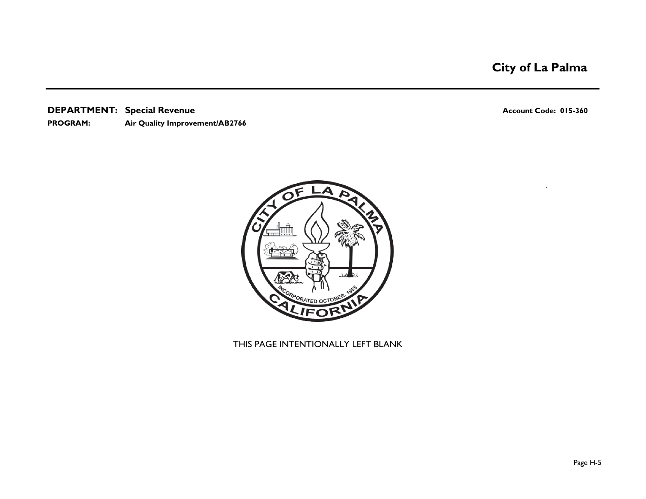# **City of La Palma**

**DEPARTMENT: Account Code: 015-360 Special Revenue**

### **PROGRAM: Air Quality Improvement/AB2766**

`

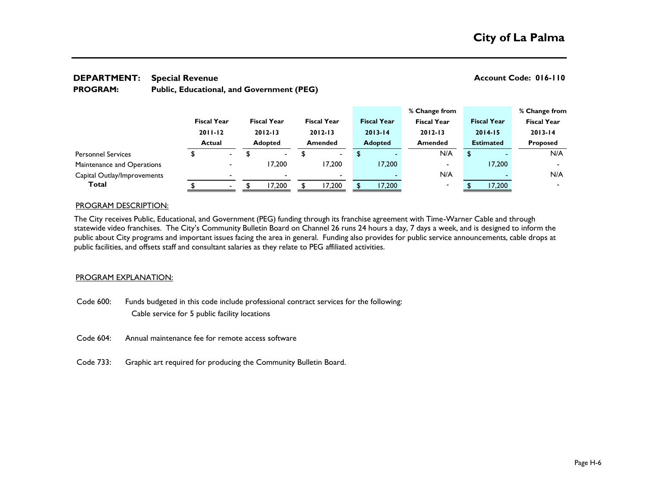#### **DEPARTMENT: Account Code: 016-110 Special Revenue Public, Educational, and Government (PEG) PROGRAM:**

|                             |               |                          |                    |                    |                    | % Change from            |                    | % Change from      |
|-----------------------------|---------------|--------------------------|--------------------|--------------------|--------------------|--------------------------|--------------------|--------------------|
|                             |               | <b>Fiscal Year</b>       | <b>Fiscal Year</b> | <b>Fiscal Year</b> | <b>Fiscal Year</b> | <b>Fiscal Year</b>       | <b>Fiscal Year</b> | <b>Fiscal Year</b> |
|                             |               | $2011 - 12$              | $2012 - 13$        | $2012 - 13$        | $2013 - 14$        | $2012 - 13$              | $2014 - 15$        | $2013 - 14$        |
|                             | <b>Actual</b> |                          | <b>Adopted</b>     | <b>Amended</b>     | <b>Adopted</b>     | <b>Amended</b>           | <b>Estimated</b>   | <b>Proposed</b>    |
| <b>Personnel Services</b>   |               | $\blacksquare$           | $\sim$             | $\blacksquare$     |                    | N/A                      | \$                 | N/A                |
| Maintenance and Operations  |               | $\overline{\phantom{0}}$ | 17.200             | 17,200             | 17,200             | $\overline{\phantom{0}}$ | 17,200             |                    |
| Capital Outlay/Improvements |               |                          |                    |                    |                    | N/A                      |                    | N/A                |
| Total                       |               | $\overline{\phantom{0}}$ | 17,200             | 17,200             | 17,200             | $\overline{\phantom{0}}$ | 17,200             |                    |

### PROGRAM DESCRIPTION:

The City receives Public, Educational, and Government (PEG) funding through its franchise agreement with Time-Warner Cable and through statewide video franchises. The City's Community Bulletin Board on Channel 26 runs 24 hours a day, 7 days a week, and is designed to inform the public about City programs and important issues facing the area in general. Funding also provides for public service announcements, cable drops at public facilities, and offsets staff and consultant salaries as they relate to PEG affiliated activities.

#### PROGRAM EXPLANATION:

- Code 600: Funds budgeted in this code include professional contract services for the following: Cable service for 5 public facility locations
- Code 604: Annual maintenance fee for remote access software
- Code 733: Graphic art required for producing the Community Bulletin Board.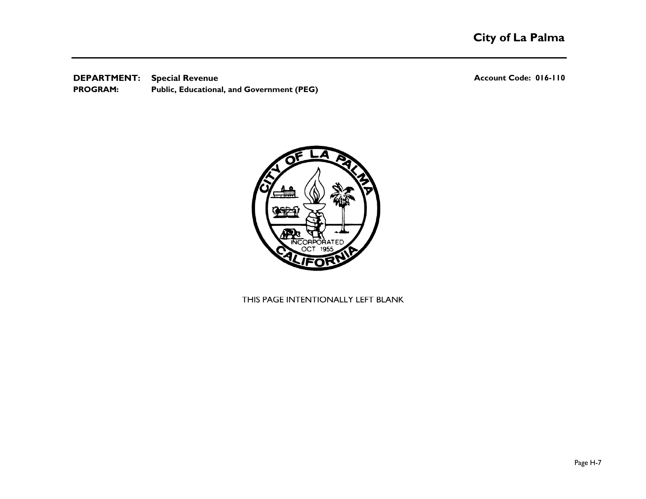**DEPARTMENT: Account Code: 016-110 Special Revenue Public, Educational, and Government (PEG) PROGRAM:** 

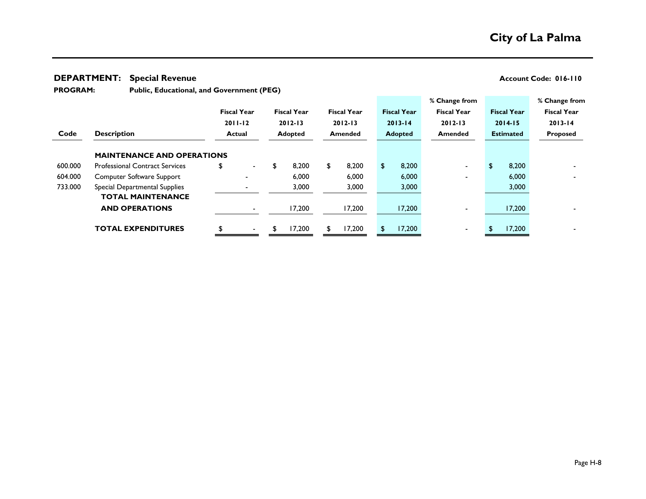#### **DEPARTMENT: Account Code: 016-110 Special Revenue**

**PROGRAM:** 

**Public, Educational, and Government (PEG)**

|         |                                       |                    |                    |                    |                    | % Change from      |                    | % Change from      |
|---------|---------------------------------------|--------------------|--------------------|--------------------|--------------------|--------------------|--------------------|--------------------|
|         |                                       | <b>Fiscal Year</b> | <b>Fiscal Year</b> | <b>Fiscal Year</b> | <b>Fiscal Year</b> | <b>Fiscal Year</b> | <b>Fiscal Year</b> | <b>Fiscal Year</b> |
|         |                                       | $2011 - 12$        | $2012 - 13$        | $2012 - 13$        | $2013 - 14$        | $2012 - 13$        | $2014 - 15$        | $2013 - 14$        |
| Code    | <b>Description</b>                    | <b>Actual</b>      | <b>Adopted</b>     | <b>Amended</b>     | <b>Adopted</b>     | <b>Amended</b>     | <b>Estimated</b>   | Proposed           |
|         |                                       |                    |                    |                    |                    |                    |                    |                    |
|         | <b>MAINTENANCE AND OPERATIONS</b>     |                    |                    |                    |                    |                    |                    |                    |
| 600.000 | <b>Professional Contract Services</b> | \$<br>$\sim$       | 8,200<br>\$        | 8,200<br>\$        | \$<br>8,200        |                    | 8,200<br>S.        |                    |
| 604.000 | Computer Software Support             |                    | 6,000              | 6,000              | 6,000              |                    | 6,000              |                    |
| 733.000 | Special Departmental Supplies         |                    | 3,000              | 3,000              | 3,000              |                    | 3,000              |                    |
|         | <b>TOTAL MAINTENANCE</b>              |                    |                    |                    |                    |                    |                    |                    |
|         | <b>AND OPERATIONS</b>                 | $\blacksquare$     | 17,200             | 17,200             | 17,200             |                    | 17,200             |                    |
|         |                                       |                    |                    |                    |                    |                    |                    |                    |
|         | <b>TOTAL EXPENDITURES</b>             | $\blacksquare$     | 17,200<br>S        | 17,200             | 17,200             |                    | 17,200             |                    |
|         |                                       |                    |                    |                    |                    |                    |                    |                    |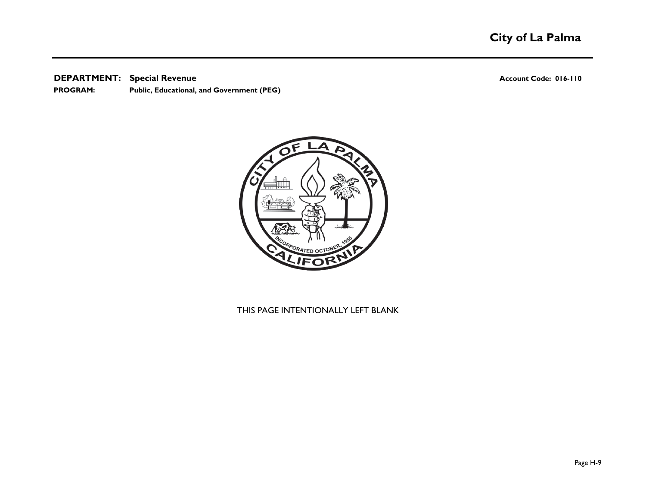#### **DEPARTMENT: Account Code: 016-110 Special Revenue**

**PROGRAM: Public, Educational, and Government (PEG)**

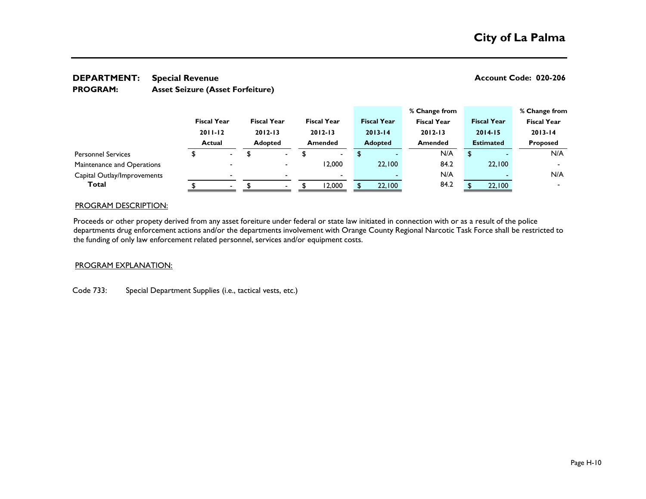#### **DEPARTMENT:** Special Revenue **CODE:** 020-206 **Asset Seizure (Asset Forfeiture) Special Revenue PROGRAM:**

**% Change from % Change from Fiscal Year Fiscal Year Fiscal Year Fiscal Year Fiscal Year Fiscal Year Fiscal Year 2011-12 2012-13 2012-13 2013-14 2012-13 2014-15 2013-14 Actual Adopted Amended Adopted Amended Estimated Proposed** \$ - \$ - \$ - \$ - N/A \$ - N/A - - 12,000 22,100 84.2 22,100 - - - - - N/A - N/A **Total** \$ - \$ - \$ 12,000 \$ 22,100 84.2 \$ 22,100 - Capital Outlay/Improvements Personnel Services Maintenance and Operations

#### PROGRAM DESCRIPTION:

Proceeds or other propety derived from any asset foreiture under federal or state law initiated in connection with or as a result of the police departments drug enforcement actions and/or the departments involvement with Orange County Regional Narcotic Task Force shall be restricted to the funding of only law enforcement related personnel, services and/or equipment costs.

#### PROGRAM EXPLANATION:

#### Code 733: Special Department Supplies (i.e., tactical vests, etc.)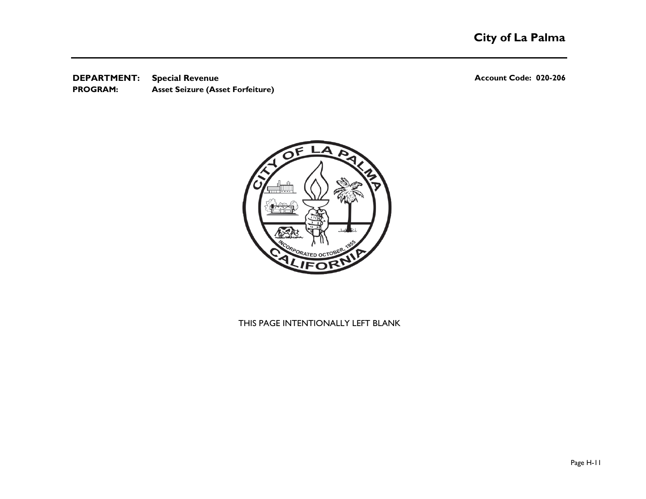**DEPARTMENT:** Special Revenue **CONSISTING CONSISTENT:** Account Code: 020-206 **Asset Seizure (Asset Forfeiture) Special Revenue PROGRAM:** 

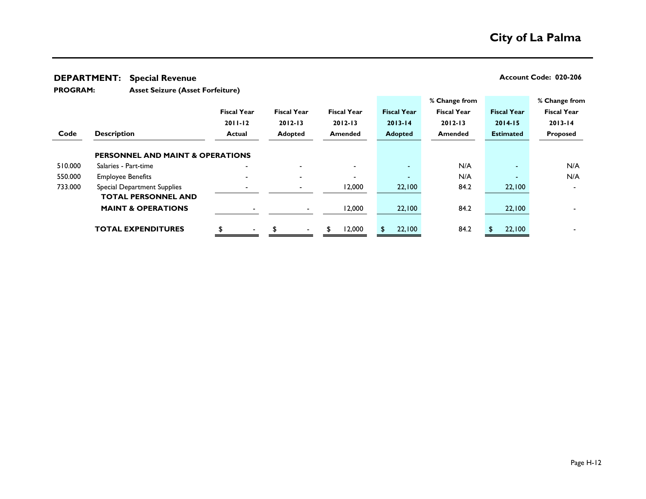**DEPARTMENT: Account Code: 020-206 Special Revenue**

**Asset Seizure (Asset Forfeiture) PROGRAM:** 

|         |                                             |                          |                    |                          |                    | % Change from      |                    | % Change from      |
|---------|---------------------------------------------|--------------------------|--------------------|--------------------------|--------------------|--------------------|--------------------|--------------------|
|         |                                             | <b>Fiscal Year</b>       | <b>Fiscal Year</b> | <b>Fiscal Year</b>       | <b>Fiscal Year</b> | <b>Fiscal Year</b> | <b>Fiscal Year</b> | <b>Fiscal Year</b> |
|         |                                             | $2011 - 12$              | $2012 - 13$        | $2012 - 13$              | $2013 - 14$        | $2012 - 13$        | $2014 - 15$        | $2013 - 14$        |
| Code    | <b>Description</b>                          | <b>Actual</b>            | <b>Adopted</b>     | <b>Amended</b>           | <b>Adopted</b>     | <b>Amended</b>     | <b>Estimated</b>   | Proposed           |
|         | <b>PERSONNEL AND MAINT &amp; OPERATIONS</b> |                          |                    |                          |                    |                    |                    |                    |
| 510.000 | Salaries - Part-time                        | $\overline{\phantom{a}}$ |                    |                          | $\sim$             | N/A                | $\blacksquare$     | N/A                |
| 550.000 | <b>Employee Benefits</b>                    |                          |                    | $\overline{\phantom{0}}$ | $\blacksquare$     | N/A                | $\sim$             | N/A                |
| 733.000 | <b>Special Department Supplies</b>          |                          |                    | 12,000                   | 22,100             | 84.2               | 22,100             |                    |
|         | <b>TOTAL PERSONNEL AND</b>                  |                          |                    |                          |                    |                    |                    |                    |
|         | <b>MAINT &amp; OPERATIONS</b>               |                          | $\sim$             | 12,000                   | 22,100             | 84.2               | 22,100             |                    |
|         | <b>TOTAL EXPENDITURES</b>                   |                          |                    | 12,000<br>\$             | 22,100             | 84.2               | 22,100             |                    |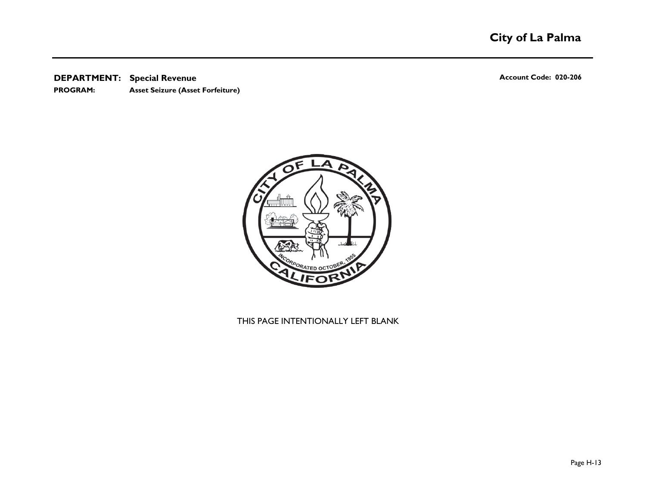**DEPARTMENT: Account Code: 020-206 Special Revenue**

**Asset Seizure (Asset Forfeiture) PROGRAM:** 

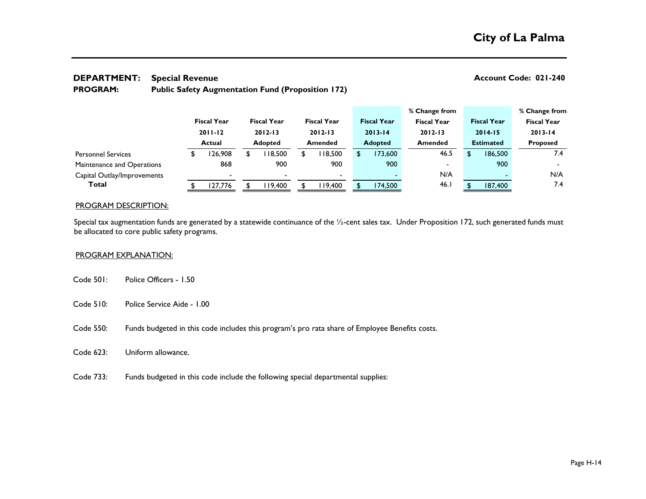# **DEPARTMENT: Account Code: 021-240 Special Revenue**

#### **Public Safety Augmentation Fund (Proposition 172) PROGRAM:**

|                             |                    |                    |                    |                    | % Change from      |                          |                    | % Change from      |     |
|-----------------------------|--------------------|--------------------|--------------------|--------------------|--------------------|--------------------------|--------------------|--------------------|-----|
|                             | <b>Fiscal Year</b> | <b>Fiscal Year</b> | <b>Fiscal Year</b> | <b>Fiscal Year</b> | <b>Fiscal Year</b> |                          | <b>Fiscal Year</b> | <b>Fiscal Year</b> |     |
|                             | $2011 - 12$        | $2012 - 13$        | $2012 - 13$        | $2013 - 14$        | $2012 - 13$        |                          | $2014 - 15$        | $2013 - 14$        |     |
|                             | <b>Actual</b>      | <b>Adopted</b>     | <b>Amended</b>     | <b>Adopted</b>     | <b>Amended</b>     |                          | <b>Estimated</b>   | <b>Proposed</b>    |     |
| <b>Personnel Services</b>   | 26,908             | 18,500             | 118,500            | 173,600            |                    | 46.5                     | 186,500            |                    | 7.4 |
| Maintenance and Operations  | 868                | 900                | 900                | 900                |                    | $\overline{\phantom{0}}$ | 900                |                    |     |
| Capital Outlay/Improvements |                    |                    | $\blacksquare$     |                    |                    | N/A                      |                    |                    | N/A |
| Total                       | 127,776            | 19.400             | 119,400            | 174,500            |                    | 46.1                     | 187,400            |                    | 7.4 |

#### PROGRAM DESCRIPTION:

Special tax augmentation funds are generated by a statewide continuance of the 1/2-cent sales tax. Under Proposition 172, such generated funds must be allocated to core public safety programs.

#### PROGRAM EXPLANATION:

- Code 501: Police Officers 1.50
- Code 510: Police Service Aide 1.00
- Code 550: Funds budgeted in this code includes this program's pro rata share of Employee Benefits costs.
- Code 623: Uniform allowance.
- Code 733: Funds budgeted in this code include the following special departmental supplies: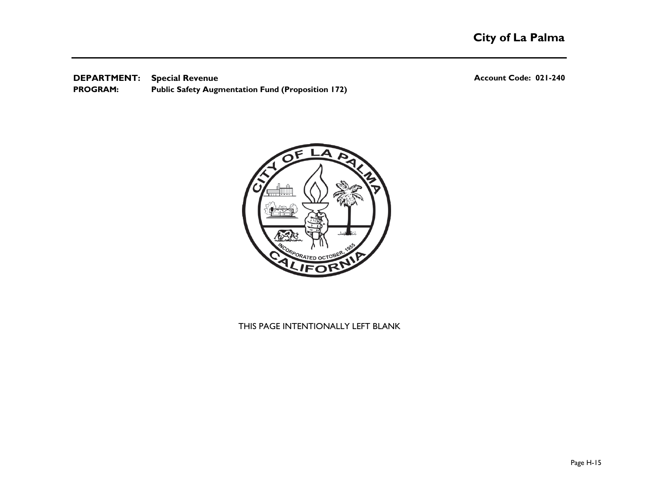**DEPARTMENT: Account Code: 021-240 Special Revenue Public Safety Augmentation Fund (Proposition 172) PROGRAM:** 

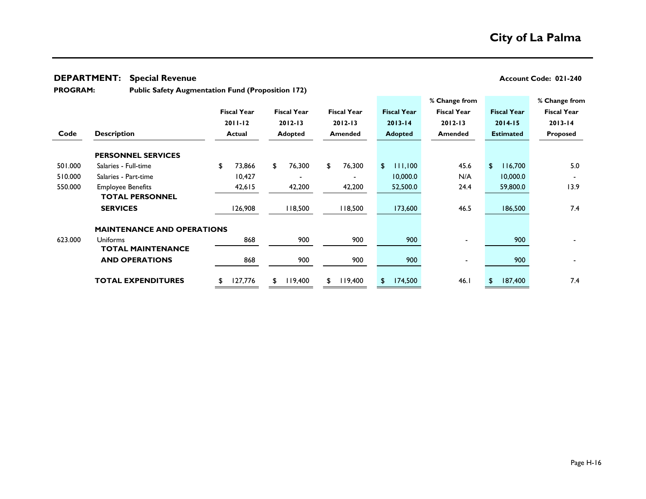#### **DEPARTMENT: Account Code: 021-240 Special Revenue**

**PROGRAM:** 

**Public Safety Augmentation Fund (Proposition 172)**

|         |                                   |                    |                    |                    |                    | % Change from      |                           | % Change from      |
|---------|-----------------------------------|--------------------|--------------------|--------------------|--------------------|--------------------|---------------------------|--------------------|
|         |                                   | <b>Fiscal Year</b> | <b>Fiscal Year</b> | <b>Fiscal Year</b> | <b>Fiscal Year</b> | <b>Fiscal Year</b> | <b>Fiscal Year</b>        | <b>Fiscal Year</b> |
|         |                                   | $2011 - 12$        | $2012 - 13$        | $2012 - 13$        | $2013 - 14$        | $2012 - 13$        | $2014 - 15$               | $2013 - 14$        |
| Code    | <b>Description</b>                | <b>Actual</b>      | <b>Adopted</b>     | <b>Amended</b>     | <b>Adopted</b>     | <b>Amended</b>     | <b>Estimated</b>          | Proposed           |
|         | <b>PERSONNEL SERVICES</b>         |                    |                    |                    |                    |                    |                           |                    |
| 501.000 | Salaries - Full-time              | \$<br>73,866       | 76,300<br>\$       | 76,300<br>\$       | 111,100<br>\$      | 45.6               | $\mathfrak{D}$<br>116,700 | 5.0                |
| 510.000 | Salaries - Part-time              | 10,427             |                    |                    | 10,000.0           | N/A                | 10,000.0                  |                    |
| 550.000 | <b>Employee Benefits</b>          | 42,615             | 42,200             | 42,200             | 52,500.0           | 24.4               | 59,800.0                  | 13.9               |
|         | <b>TOTAL PERSONNEL</b>            |                    |                    |                    |                    |                    |                           |                    |
|         | <b>SERVICES</b>                   | 126,908            | 118,500            | 118,500            | 173,600            | 46.5               | 186,500                   | 7.4                |
|         | <b>MAINTENANCE AND OPERATIONS</b> |                    |                    |                    |                    |                    |                           |                    |
| 623.000 | <b>Uniforms</b>                   | 868                | 900                | 900                | 900                |                    | 900                       |                    |
|         | <b>TOTAL MAINTENANCE</b>          |                    |                    |                    |                    |                    |                           |                    |
|         | <b>AND OPERATIONS</b>             | 868                | 900                | 900                | 900                |                    | 900                       |                    |
|         | <b>TOTAL EXPENDITURES</b>         | 127,776<br>S       | 119,400<br>\$.     | 119,400            | 174,500<br>\$.     | 46.1               | 187,400<br>\$             | 7.4                |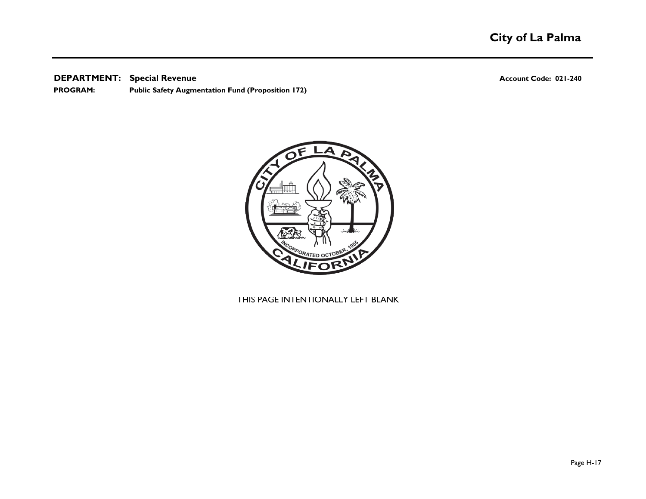**DEPARTMENT: Account Code: 021-240 Special Revenue**

**Public Safety Augmentation Fund (Proposition 172) PROGRAM:** 

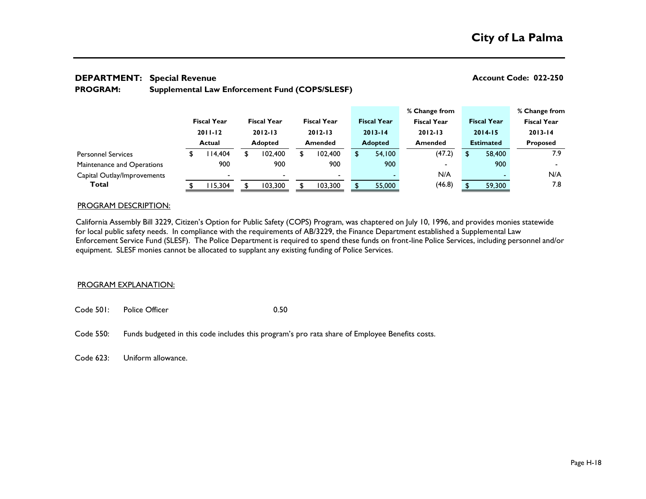#### **DEPARTMENT: Account Code: 022-250 Special Revenue**

#### **Supplemental Law Enforcement Fund (COPS/SLESF) PROGRAM:**

|                             |                    |   |                    |                          |                    | % Change from      |     |                    | % Change from            |
|-----------------------------|--------------------|---|--------------------|--------------------------|--------------------|--------------------|-----|--------------------|--------------------------|
|                             | <b>Fiscal Year</b> |   | <b>Fiscal Year</b> | <b>Fiscal Year</b>       | <b>Fiscal Year</b> | <b>Fiscal Year</b> |     | <b>Fiscal Year</b> | <b>Fiscal Year</b>       |
|                             | $2011 - 12$        |   | $2012 - 13$        | $2012 - 13$              | $2013 - 14$        | $2012 - 13$        |     | $2014 - 15$        | $2013 - 14$              |
|                             | <b>Actual</b>      |   | <b>Adopted</b>     | <b>Amended</b>           | <b>Adopted</b>     | <b>Amended</b>     |     | <b>Estimated</b>   | <b>Proposed</b>          |
| <b>Personnel Services</b>   | 14,404             | £ | 102.400            | 102.400                  | 54.100             | (47.2)             | \$. | 58,400             | 7.9                      |
| Maintenance and Operations  | 900                |   | 900                | 900                      | 900                | $\blacksquare$     |     | 900                | $\overline{\phantom{0}}$ |
| Capital Outlay/Improvements |                    |   |                    | $\overline{\phantom{a}}$ |                    | N/A                |     |                    | N/A                      |
| Total                       | 15,304             |   | 103.300            | 103,300                  | 55,000             | (46.8)             |     | 59,300             | 7.8                      |

#### PROGRAM DESCRIPTION:

California Assembly Bill 3229, Citizen's Option for Public Safety (COPS) Program, was chaptered on July 10, 1996, and provides monies statewide for local public safety needs. In compliance with the requirements of AB/3229, the Finance Department established a Supplemental Law Enforcement Service Fund (SLESF). The Police Department is required to spend these funds on front-line Police Services, including personnel and/or equipment. SLESF monies cannot be allocated to supplant any existing funding of Police Services.

#### PROGRAM EXPLANATION:

- Code 501: Police Officer 0.50
- Code 550: Funds budgeted in this code includes this program's pro rata share of Employee Benefits costs.

Code 623: Uniform allowance.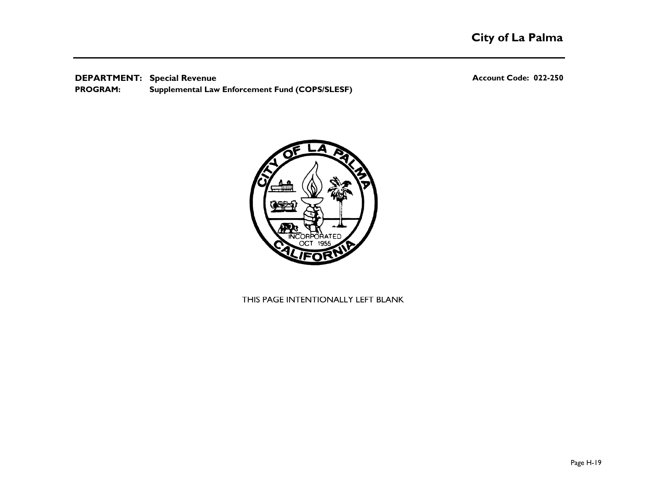**DEPARTMENT: Account Code: 022-250 Special Revenue Supplemental Law Enforcement Fund (COPS/SLESF) PROGRAM:** 

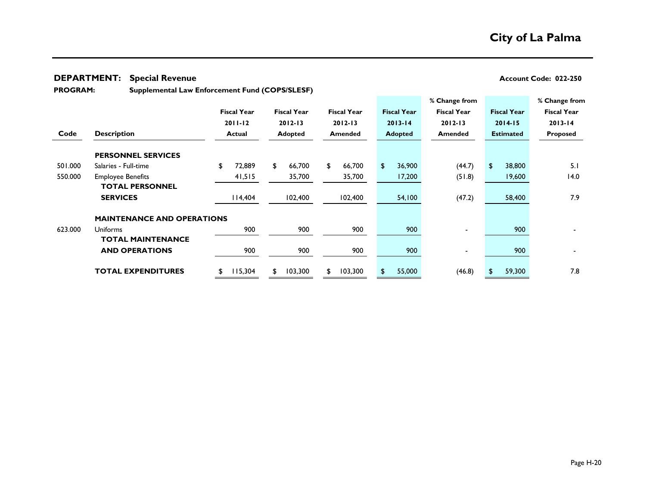#### **DEPARTMENT: Account Code: 022-250 Special Revenue**

**PROGRAM:** 

**Supplemental Law Enforcement Fund (COPS/SLESF)**

|         |                                   |                    |                    |                    |                    | % Change from      |                    | % Change from      |
|---------|-----------------------------------|--------------------|--------------------|--------------------|--------------------|--------------------|--------------------|--------------------|
|         |                                   | <b>Fiscal Year</b> | <b>Fiscal Year</b> | <b>Fiscal Year</b> | <b>Fiscal Year</b> | <b>Fiscal Year</b> | <b>Fiscal Year</b> | <b>Fiscal Year</b> |
|         |                                   | $2011 - 12$        | $2012 - 13$        | $2012 - 13$        | $2013 - 14$        | $2012 - 13$        | $2014 - 15$        | $2013 - 14$        |
| Code    | <b>Description</b>                | <b>Actual</b>      | <b>Adopted</b>     | <b>Amended</b>     | <b>Adopted</b>     | <b>Amended</b>     | <b>Estimated</b>   | Proposed           |
|         | <b>PERSONNEL SERVICES</b>         |                    |                    |                    |                    |                    |                    |                    |
| 501.000 | Salaries - Full-time              | \$<br>72,889       | 66,700<br>£.       | 66,700<br>S.       | \$<br>36,900       | (44.7)             | \$<br>38,800       | 5.1                |
| 550.000 | <b>Employee Benefits</b>          | 41,515             | 35,700             | 35,700             | 17,200             | (51.8)             | 19,600             | 14.0               |
|         | <b>TOTAL PERSONNEL</b>            |                    |                    |                    |                    |                    |                    |                    |
|         | <b>SERVICES</b>                   | 14,404             | 102,400            | 102,400            | 54,100             | (47.2)             | 58,400             | 7.9                |
|         | <b>MAINTENANCE AND OPERATIONS</b> |                    |                    |                    |                    |                    |                    |                    |
| 623.000 | <b>Uniforms</b>                   | 900                | 900                | 900                | 900                |                    | 900                |                    |
|         | <b>TOTAL MAINTENANCE</b>          |                    |                    |                    |                    |                    |                    |                    |
|         | <b>AND OPERATIONS</b>             | 900                | 900                | 900                | 900                |                    | 900                |                    |
|         | <b>TOTAL EXPENDITURES</b>         | 15,304<br>S        | 103,300<br>S.      | 103,300<br>S.      | 55,000             | (46.8)             | 59,300<br>S        | 7.8                |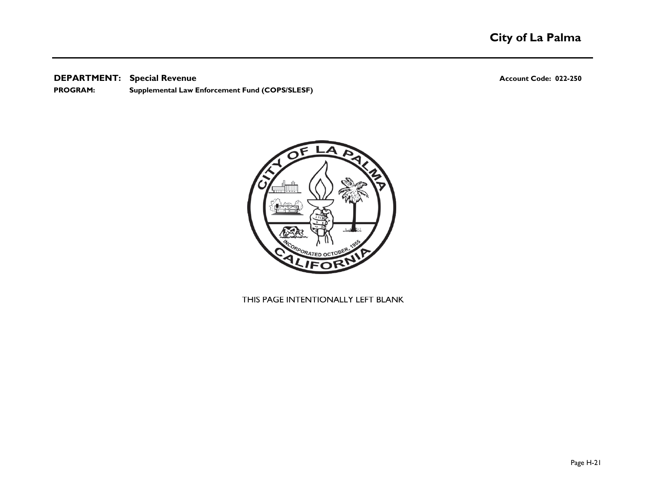**DEPARTMENT: Account Code: 022-250 Special Revenue**

**Supplemental Law Enforcement Fund (COPS/SLESF) PROGRAM:** 

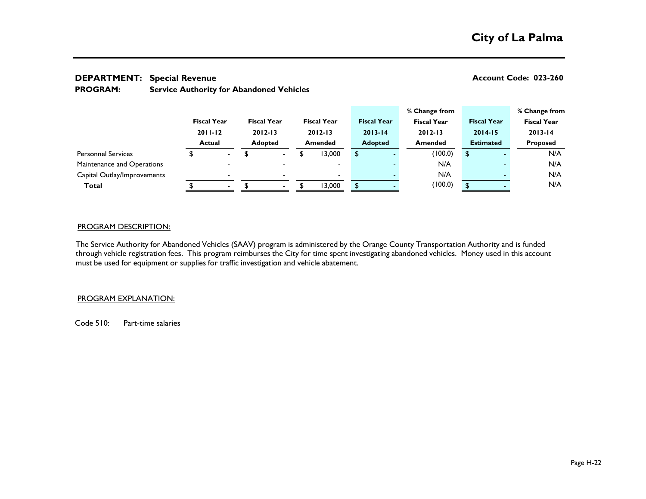## **DEPARTMENT: Account Code: 023-260 Special Revenue**

| <b>PROGRAM:</b> |  | <b>Service Authority for Abandoned Vehicles</b> |  |
|-----------------|--|-------------------------------------------------|--|
|-----------------|--|-------------------------------------------------|--|

|                             |                                             |                          |                                                     |                          |                                              |                          |                                                     |  | % Change from      |                                                       |  | % Change from      |  |
|-----------------------------|---------------------------------------------|--------------------------|-----------------------------------------------------|--------------------------|----------------------------------------------|--------------------------|-----------------------------------------------------|--|--------------------|-------------------------------------------------------|--|--------------------|--|
|                             | <b>Fiscal Year</b><br>$2011 - 12$<br>Actual |                          | <b>Fiscal Year</b><br>$2012 - 13$<br><b>Adopted</b> |                          | <b>Fiscal Year</b><br>$2012 - 13$<br>Amended |                          | <b>Fiscal Year</b><br>$2013 - 14$<br><b>Adopted</b> |  | <b>Fiscal Year</b> | <b>Fiscal Year</b><br>$2014 - 15$<br><b>Estimated</b> |  | <b>Fiscal Year</b> |  |
|                             |                                             |                          |                                                     |                          |                                              |                          |                                                     |  | $2012 - 13$        |                                                       |  | $2013 - 14$        |  |
|                             |                                             |                          |                                                     |                          |                                              |                          |                                                     |  | <b>Amended</b>     |                                                       |  | <b>Proposed</b>    |  |
| <b>Personnel Services</b>   |                                             | $\blacksquare$           |                                                     | $\blacksquare$           | ۰D                                           | 13,000                   | \$                                                  |  | (100.0)            | \$                                                    |  | N/A                |  |
| Maintenance and Operations  |                                             | $\overline{\phantom{0}}$ |                                                     |                          |                                              | $\overline{\phantom{0}}$ |                                                     |  | N/A                |                                                       |  | N/A                |  |
| Capital Outlay/Improvements |                                             | $\overline{\phantom{0}}$ |                                                     |                          |                                              | $\overline{\phantom{0}}$ |                                                     |  | N/A                |                                                       |  | N/A                |  |
| Total                       |                                             | $\overline{\phantom{a}}$ |                                                     | $\overline{\phantom{a}}$ |                                              | 13,000                   |                                                     |  | (100.0)            |                                                       |  | N/A                |  |
|                             |                                             |                          |                                                     |                          |                                              |                          |                                                     |  |                    |                                                       |  |                    |  |

#### PROGRAM DESCRIPTION:

The Service Authority for Abandoned Vehicles (SAAV) program is administered by the Orange County Transportation Authority and is funded through vehicle registration fees. This program reimburses the City for time spent investigating abandoned vehicles. Money used in this account must be used for equipment or supplies for traffic investigation and vehicle abatement.

### PROGRAM EXPLANATION:

Code 510: Part-time salaries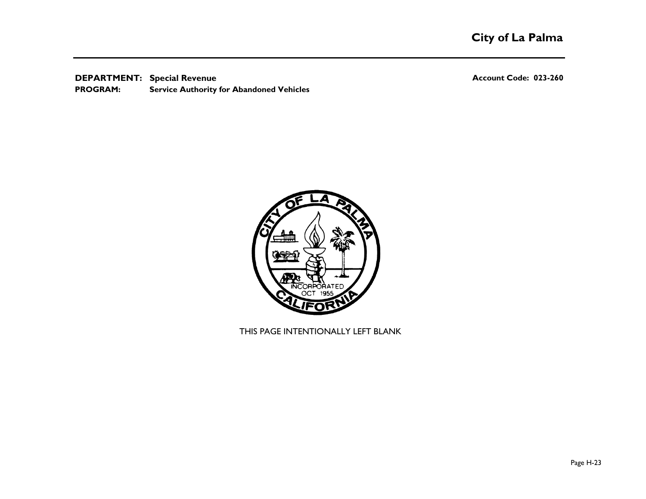**DEPARTMENT: Account Code: 023-260 Special Revenue Service Authority for Abandoned Vehicles PROGRAM:** 

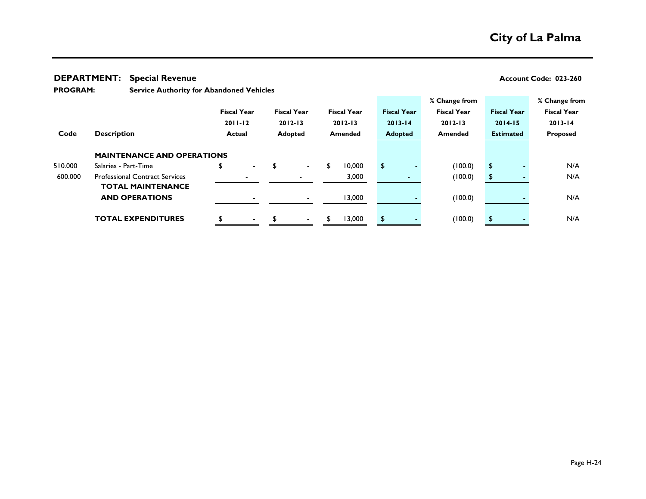#### **DEPARTMENT: Account Code: 023-260 Special Revenue**

**Service Authority for Abandoned Vehicles PROGRAM:** 

|         |                                       |                      |                    |   |                    |                    | % Change from      |                    | % Change from      |
|---------|---------------------------------------|----------------------|--------------------|---|--------------------|--------------------|--------------------|--------------------|--------------------|
|         |                                       | <b>Fiscal Year</b>   | <b>Fiscal Year</b> |   | <b>Fiscal Year</b> | <b>Fiscal Year</b> | <b>Fiscal Year</b> | <b>Fiscal Year</b> | <b>Fiscal Year</b> |
|         |                                       | $2011 - 12$          | $2012 - 13$        |   | $2012 - 13$        | $2013 - 14$        | $2012 - 13$        | $2014 - 15$        | $2013 - 14$        |
| Code    | <b>Description</b>                    | Actual               | <b>Adopted</b>     |   | <b>Amended</b>     | <b>Adopted</b>     | <b>Amended</b>     | <b>Estimated</b>   | Proposed           |
|         |                                       |                      |                    |   |                    |                    |                    |                    |                    |
|         | <b>MAINTENANCE AND OPERATIONS</b>     |                      |                    |   |                    |                    |                    |                    |                    |
| 510.000 | Salaries - Part-Time                  | \$<br>$\blacksquare$ |                    |   | 10,000             | \$                 | (100.0)            | \$                 | N/A                |
| 600.000 | <b>Professional Contract Services</b> |                      |                    |   | 3,000              |                    | (100.0)            | \$                 | N/A                |
|         | <b>TOTAL MAINTENANCE</b>              |                      |                    |   |                    |                    |                    |                    |                    |
|         | <b>AND OPERATIONS</b>                 |                      |                    |   | 13,000             |                    | (100.0)            |                    | N/A                |
|         |                                       |                      |                    |   |                    |                    |                    |                    |                    |
|         | <b>TOTAL EXPENDITURES</b>             | $\blacksquare$       |                    | S | 13,000             | \$                 | (100.0)            | \$                 | N/A                |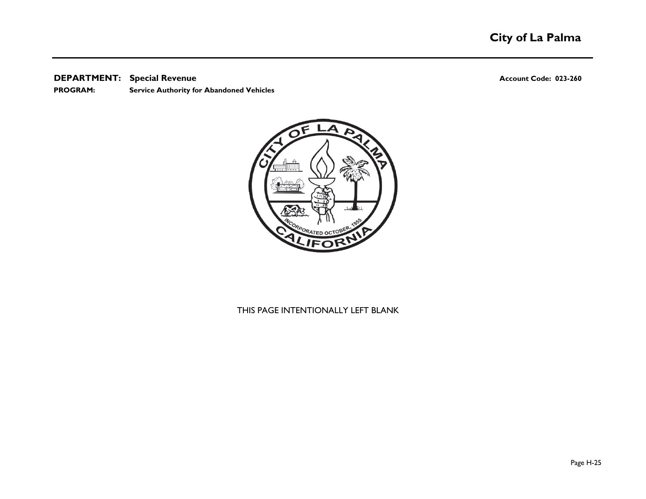#### **DEPARTMENT: Account Code: 023-260 Special Revenue**

**PROGRAM: Service Authority for Abandoned Vehicles**

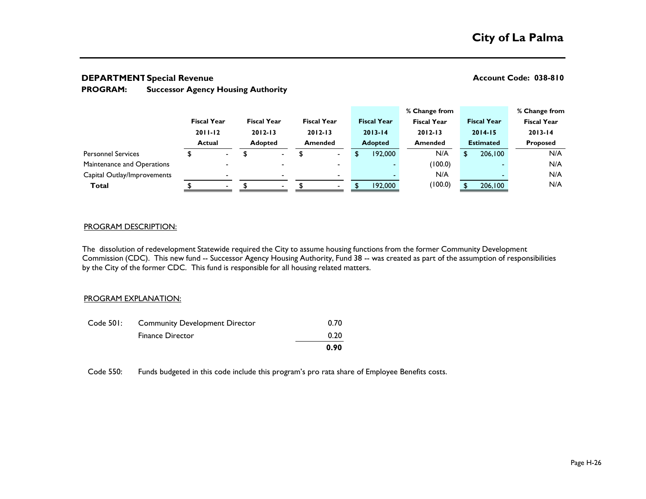### **DEPARTMENT: Account Code: 038-810 Special Revenue**

#### **Successor Agency Housing Authority PROGRAM:**

|                             |                                                    |                          |                                                     |                          |                                                     |                |   |                    | % Change from      |                                                       |         | % Change from      |  |
|-----------------------------|----------------------------------------------------|--------------------------|-----------------------------------------------------|--------------------------|-----------------------------------------------------|----------------|---|--------------------|--------------------|-------------------------------------------------------|---------|--------------------|--|
|                             | <b>Fiscal Year</b><br>$2011 - 12$<br><b>Actual</b> |                          | <b>Fiscal Year</b><br>$2012 - 13$<br><b>Adopted</b> |                          | <b>Fiscal Year</b><br>$2012 - 13$<br><b>Amended</b> |                |   | <b>Fiscal Year</b> | <b>Fiscal Year</b> | <b>Fiscal Year</b><br>$2014 - 15$<br><b>Estimated</b> |         | <b>Fiscal Year</b> |  |
|                             |                                                    |                          |                                                     |                          |                                                     |                |   | $2013 - 14$        | $2012 - 13$        |                                                       |         | $2013 - 14$        |  |
|                             |                                                    |                          |                                                     |                          |                                                     |                |   | <b>Adopted</b>     | <b>Amended</b>     |                                                       |         | <b>Proposed</b>    |  |
| <b>Personnel Services</b>   |                                                    | $\overline{\phantom{a}}$ |                                                     | $\overline{\phantom{0}}$ |                                                     | $\blacksquare$ | S | 192,000            | N/A                |                                                       | 206,100 | N/A                |  |
| Maintenance and Operations  |                                                    | $\overline{\phantom{0}}$ |                                                     | -                        |                                                     | $\blacksquare$ |   |                    | (100.0)            |                                                       |         | N/A                |  |
| Capital Outlay/Improvements |                                                    | $\blacksquare$           |                                                     |                          |                                                     | $\blacksquare$ |   |                    | N/A                |                                                       |         | N/A                |  |
| <b>Total</b>                |                                                    | $\overline{\phantom{a}}$ |                                                     |                          |                                                     | $\sim$         |   | 192,000            | (100.0)            |                                                       | 206,100 | N/A                |  |
|                             |                                                    |                          |                                                     |                          |                                                     |                |   |                    |                    |                                                       |         |                    |  |

#### PROGRAM DESCRIPTION:

The dissolution of redevelopment Statewide required the City to assume housing functions from the former Community Development Commission (CDC). This new fund -- Successor Agency Housing Authority, Fund 38 -- was created as part of the assumption of responsibilities by the City of the former CDC. This fund is responsible for all housing related matters.

### PROGRAM EXPLANATION:

| Code 501: | <b>Community Development Director</b> | 0.70 |
|-----------|---------------------------------------|------|
|           | <b>Finance Director</b>               | 0.20 |
|           |                                       | 0.90 |

Code 550: Funds budgeted in this code include this program's pro rata share of Employee Benefits costs.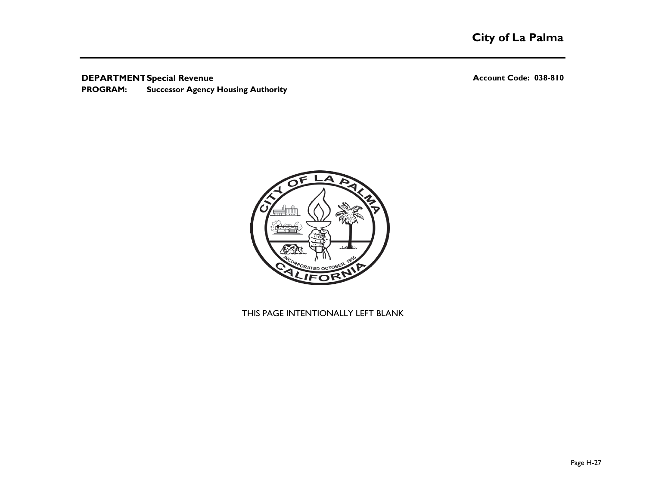### **DEPARTMENT: Account Code: 038-810 Special Revenue**

**Successor Agency Housing Authority PROGRAM:**